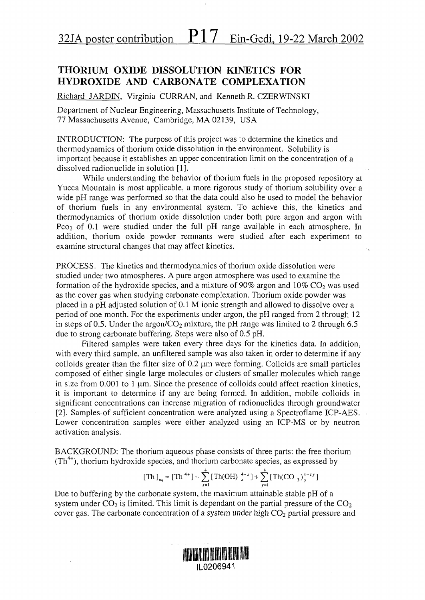## THORIUM OXIDE DISSOLUTION KINETICS FOR HYDROXIDE AND CARBONATE COMPLEXATION

Richard JARDIN. Virginia CURRAN, and Kenneth R. CZERWINSKI

Department of Nuclear Engineering, Massachusetts Institute of Technology, 77 Massachusetts Avenue, Cambridge, MA 02139, USA

INTRODUCTION: The purpose of this project was to determine the kinetics and thermodynamics of thorium oxide dissolution in the environment. Solubility is important because it establishes an upper concentration limit on the concentration of a dissolved radionuclide in solution [1].

While understanding the behavior of thorium fuels in the proposed repository at Yucca Mountain is most applicable, a more rigorous study of thorium solubility over a wide pH range was performed so that the data could also be used to model the behavior of thorium fuels in any environmental system. To achieve this, the kinetics and thermodynamics of thorium oxide dissolution under both pure argon and argon with Pco<sub>2</sub> of 0.1 were studied under the full pH range available in each atmosphere. In addition, thorium oxide powder remnants were studied after each experiment to examine structural changes that may affect kinetics.

PROCESS: The kinetics and thermodynamics of thorium oxide dissolution were studied under two atmospheres. A pure argon atmosphere was used to examine the formation of the hydroxide species, and a mixture of  $90\%$  argon and  $10\%$  CO<sub>2</sub> was used as the cover gas when studying carbonate complexation. Thorium oxide powder was placed in apH adjusted solution of 0.1 M ionic strength and allowed to dissolve over a period of one month. For the experiments under argon, the pH ranged from 2 through 12 in steps of 0.5. Under the argon/ $CO<sub>2</sub>$  mixture, the pH range was limited to 2 through 6.5 due to strong carbonate buffering. Steps were also of 0.5 pH.

Filtered samples were taken every three days for the kinetics data. In addition, with every third sample, an unfiltered sample was also taken in order to determine if any colloids greater than the filter size of  $0.2 \mu m$  were forming. Colloids are small particles composed of either single large molecules or clusters of smaller molecules which range in size from  $0.001$  to 1  $\mu$ m. Since the presence of colloids could affect reaction kinetics, it is important to determine if any are being formed. In addition, mobile colloids in significant concentrations can increase migration of radionuclides through groundwater [2]. Samples of sufficient concentration were analyzed using a Spectroflame ICP-AES. Lower concentration samples were either analyzed using an ICP-MS or by neutron activation analysis.

BACKGROUND: The thorium aqueous phase consists of three parts: the free thorium (Th<sup>4+</sup>), thorium hydroxide species, and thorium carbonate species, as expressed by

[Th ]<sub>aq</sub> = [Th<sup>4+</sup>] + 
$$
\sum_{x=1}^{4}
$$
 [Th(OH)  $\frac{4-x}{x}$ ] +  $\sum_{y=1}^{4}$  [Th(CO<sub>3</sub>) $\frac{4-2y}{y}$ ]

Due to buffering by the carbonate system, the maximum attainable stable pH of a system under  $CO<sub>2</sub>$  is limited. This limit is dependant on the partial pressure of the  $CO<sub>2</sub>$ cover gas. The carbonate concentration of a system under high  $CO<sub>2</sub>$  partial pressure and